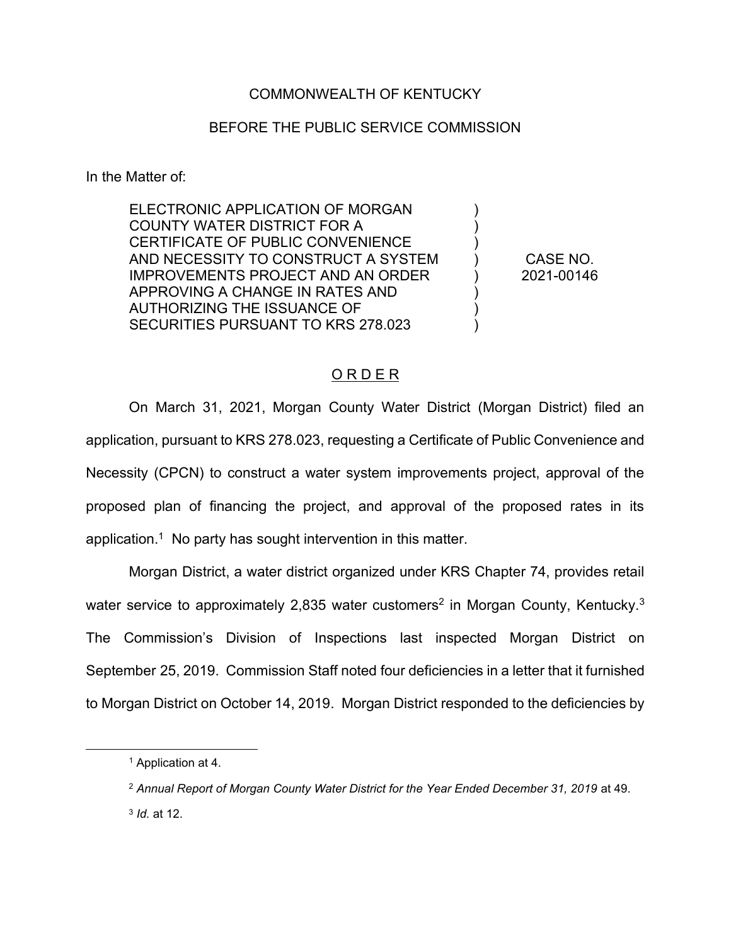# COMMONWEALTH OF KENTUCKY

## BEFORE THE PUBLIC SERVICE COMMISSION

In the Matter of:

ELECTRONIC APPLICATION OF MORGAN COUNTY WATER DISTRICT FOR A CERTIFICATE OF PUBLIC CONVENIENCE AND NECESSITY TO CONSTRUCT A SYSTEM IMPROVEMENTS PROJECT AND AN ORDER APPROVING A CHANGE IN RATES AND AUTHORIZING THE ISSUANCE OF SECURITIES PURSUANT TO KRS 278.023

CASE NO. 2021-00146

) ) ) ) ) ) ) )

#### O R D E R

On March 31, 2021, Morgan County Water District (Morgan District) filed an application, pursuant to KRS 278.023, requesting a Certificate of Public Convenience and Necessity (CPCN) to construct a water system improvements project, approval of the proposed plan of financing the project, and approval of the proposed rates in its application.<sup>1</sup> No party has sought intervention in this matter.

Morgan District, a water district organized under KRS Chapter 74, provides retail water service to approximately 2,835 water customers<sup>2</sup> in Morgan County, Kentucky.<sup>3</sup> The Commission's Division of Inspections last inspected Morgan District on September 25, 2019. Commission Staff noted four deficiencies in a letter that it furnished to Morgan District on October 14, 2019. Morgan District responded to the deficiencies by

<sup>1</sup> Application at 4.

<sup>&</sup>lt;sup>2</sup> Annual Report of Morgan County Water District for the Year Ended December 31, 2019 at 49.

<sup>3</sup> *Id.* at 12.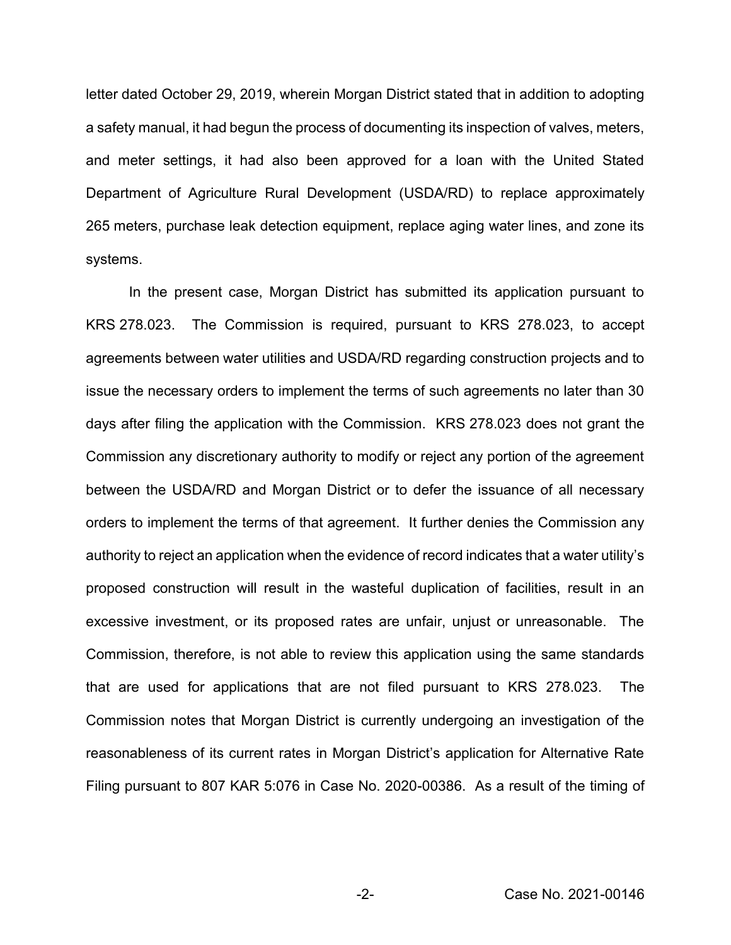letter dated October 29, 2019, wherein Morgan District stated that in addition to adopting a safety manual, it had begun the process of documenting its inspection of valves, meters, and meter settings, it had also been approved for a loan with the United Stated Department of Agriculture Rural Development (USDA/RD) to replace approximately 265 meters, purchase leak detection equipment, replace aging water lines, and zone its systems.

In the present case, Morgan District has submitted its application pursuant to KRS 278.023. The Commission is required, pursuant to KRS 278.023, to accept agreements between water utilities and USDA/RD regarding construction projects and to issue the necessary orders to implement the terms of such agreements no later than 30 days after filing the application with the Commission. KRS 278.023 does not grant the Commission any discretionary authority to modify or reject any portion of the agreement between the USDA/RD and Morgan District or to defer the issuance of all necessary orders to implement the terms of that agreement. It further denies the Commission any authority to reject an application when the evidence of record indicates that a water utility's proposed construction will result in the wasteful duplication of facilities, result in an excessive investment, or its proposed rates are unfair, unjust or unreasonable. The Commission, therefore, is not able to review this application using the same standards that are used for applications that are not filed pursuant to KRS 278.023. The Commission notes that Morgan District is currently undergoing an investigation of the reasonableness of its current rates in Morgan District's application for Alternative Rate Filing pursuant to 807 KAR 5:076 in Case No. 2020-00386. As a result of the timing of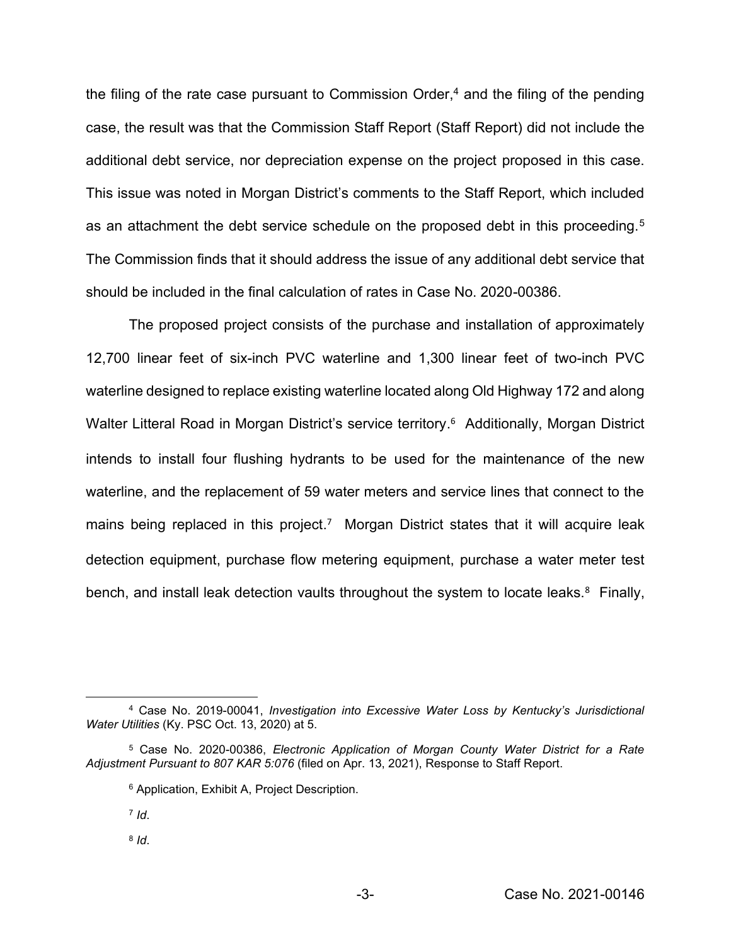the filing of the rate case pursuant to Commission Order, $4$  and the filing of the pending case, the result was that the Commission Staff Report (Staff Report) did not include the additional debt service, nor depreciation expense on the project proposed in this case. This issue was noted in Morgan District's comments to the Staff Report, which included as an attachment the debt service schedule on the proposed debt in this proceeding.<sup>5</sup> The Commission finds that it should address the issue of any additional debt service that should be included in the final calculation of rates in Case No. 2020-00386.

The proposed project consists of the purchase and installation of approximately 12,700 linear feet of six-inch PVC waterline and 1,300 linear feet of two-inch PVC waterline designed to replace existing waterline located along Old Highway 172 and along Walter Litteral Road in Morgan District's service territory.<sup>6</sup> Additionally, Morgan District intends to install four flushing hydrants to be used for the maintenance of the new waterline, and the replacement of 59 water meters and service lines that connect to the mains being replaced in this project.<sup>7</sup> Morgan District states that it will acquire leak detection equipment, purchase flow metering equipment, purchase a water meter test bench, and install leak detection vaults throughout the system to locate leaks.<sup>8</sup> Finally,

<sup>7</sup> *Id*.

<sup>8</sup> *Id*.

<sup>4</sup> Case No. 2019-00041, *Investigation into Excessive Water Loss by Kentucky's Jurisdictional Water Utilities* (Ky. PSC Oct. 13, 2020) at 5.

<sup>5</sup> Case No. 2020-00386, *Electronic Application of Morgan County Water District for a Rate Adjustment Pursuant to 807 KAR 5:076* (filed on Apr. 13, 2021), Response to Staff Report.

<sup>6</sup> Application, Exhibit A, Project Description.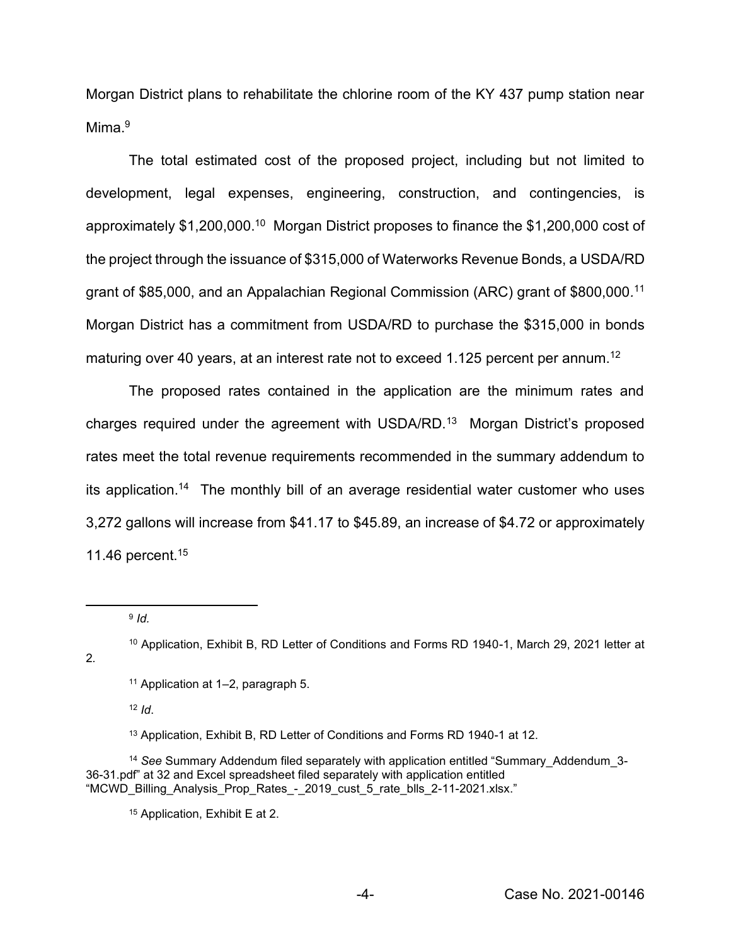Morgan District plans to rehabilitate the chlorine room of the KY 437 pump station near Mima $9$ 

The total estimated cost of the proposed project, including but not limited to development, legal expenses, engineering, construction, and contingencies, is approximately \$1,200,000.10 Morgan District proposes to finance the \$1,200,000 cost of the project through the issuance of \$315,000 of Waterworks Revenue Bonds, a USDA/RD grant of \$85,000, and an Appalachian Regional Commission (ARC) grant of \$800,000*.* 11 Morgan District has a commitment from USDA/RD to purchase the \$315,000 in bonds maturing over 40 years, at an interest rate not to exceed 1.125 percent per annum.<sup>12</sup>

The proposed rates contained in the application are the minimum rates and charges required under the agreement with USDA/RD.13 Morgan District's proposed rates meet the total revenue requirements recommended in the summary addendum to its application. <sup>14</sup>The monthly bill of an average residential water customer who uses 3,272 gallons will increase from \$41.17 to \$45.89, an increase of \$4.72 or approximately 11.46 percent.15

<sup>9</sup> *Id.*

2*.*

 $12$  *Id.* 

<sup>13</sup> Application, Exhibit B, RD Letter of Conditions and Forms RD 1940-1 at 12.

<sup>14</sup> *See* Summary Addendum filed separately with application entitled "Summary\_Addendum\_3- 36-31.pdf" at 32 and Excel spreadsheet filed separately with application entitled "MCWD\_Billing\_Analysis\_Prop\_Rates\_-\_2019\_cust\_5\_rate\_blls\_2-11-2021.xlsx."

<sup>15</sup> Application, Exhibit E at 2.

<sup>10</sup> Application, Exhibit B, RD Letter of Conditions and Forms RD 1940-1, March 29, 2021 letter at

<sup>11</sup> Application at 1–2, paragraph 5.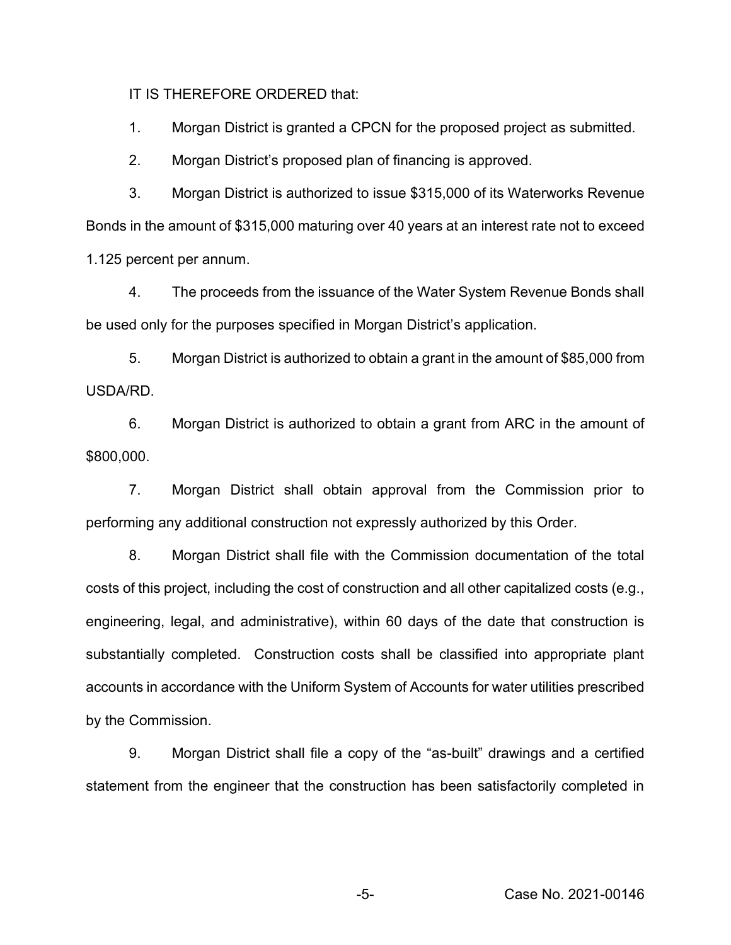IT IS THEREFORE ORDERED that:

1. Morgan District is granted a CPCN for the proposed project as submitted.

2. Morgan District's proposed plan of financing is approved.

3. Morgan District is authorized to issue \$315,000 of its Waterworks Revenue Bonds in the amount of \$315,000 maturing over 40 years at an interest rate not to exceed 1.125 percent per annum.

4. The proceeds from the issuance of the Water System Revenue Bonds shall be used only for the purposes specified in Morgan District's application.

5. Morgan District is authorized to obtain a grant in the amount of \$85,000 from USDA/RD.

6. Morgan District is authorized to obtain a grant from ARC in the amount of \$800,000.

7. Morgan District shall obtain approval from the Commission prior to performing any additional construction not expressly authorized by this Order.

8. Morgan District shall file with the Commission documentation of the total costs of this project, including the cost of construction and all other capitalized costs (e.g., engineering, legal, and administrative), within 60 days of the date that construction is substantially completed. Construction costs shall be classified into appropriate plant accounts in accordance with the Uniform System of Accounts for water utilities prescribed by the Commission.

9. Morgan District shall file a copy of the "as-built" drawings and a certified statement from the engineer that the construction has been satisfactorily completed in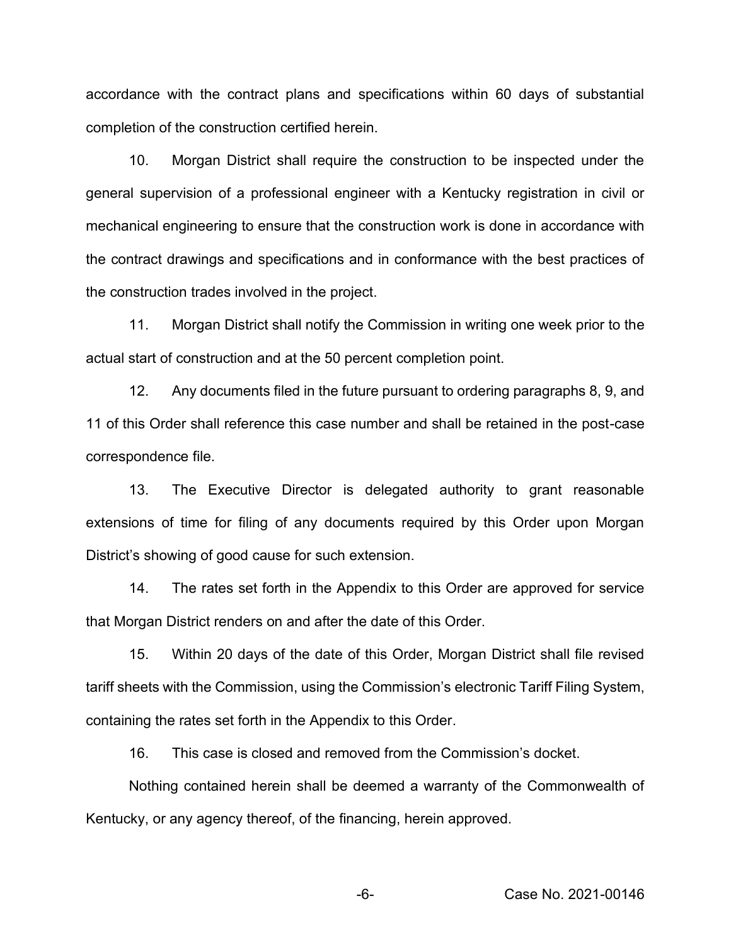accordance with the contract plans and specifications within 60 days of substantial completion of the construction certified herein.

10. Morgan District shall require the construction to be inspected under the general supervision of a professional engineer with a Kentucky registration in civil or mechanical engineering to ensure that the construction work is done in accordance with the contract drawings and specifications and in conformance with the best practices of the construction trades involved in the project.

11. Morgan District shall notify the Commission in writing one week prior to the actual start of construction and at the 50 percent completion point.

12. Any documents filed in the future pursuant to ordering paragraphs 8, 9, and 11 of this Order shall reference this case number and shall be retained in the post-case correspondence file.

13. The Executive Director is delegated authority to grant reasonable extensions of time for filing of any documents required by this Order upon Morgan District's showing of good cause for such extension.

14. The rates set forth in the Appendix to this Order are approved for service that Morgan District renders on and after the date of this Order.

15. Within 20 days of the date of this Order, Morgan District shall file revised tariff sheets with the Commission, using the Commission's electronic Tariff Filing System, containing the rates set forth in the Appendix to this Order.

16. This case is closed and removed from the Commission's docket.

Nothing contained herein shall be deemed a warranty of the Commonwealth of Kentucky, or any agency thereof, of the financing, herein approved.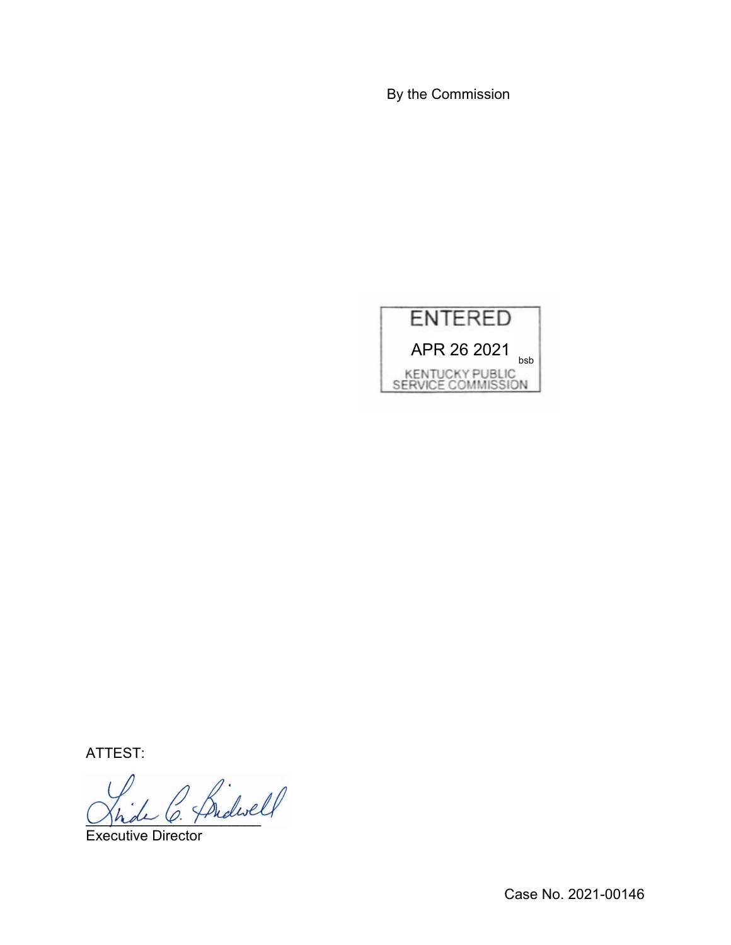By the Commission



ATTEST:

Jhde O. Frieric

Executive Director

Case No. 2021-00146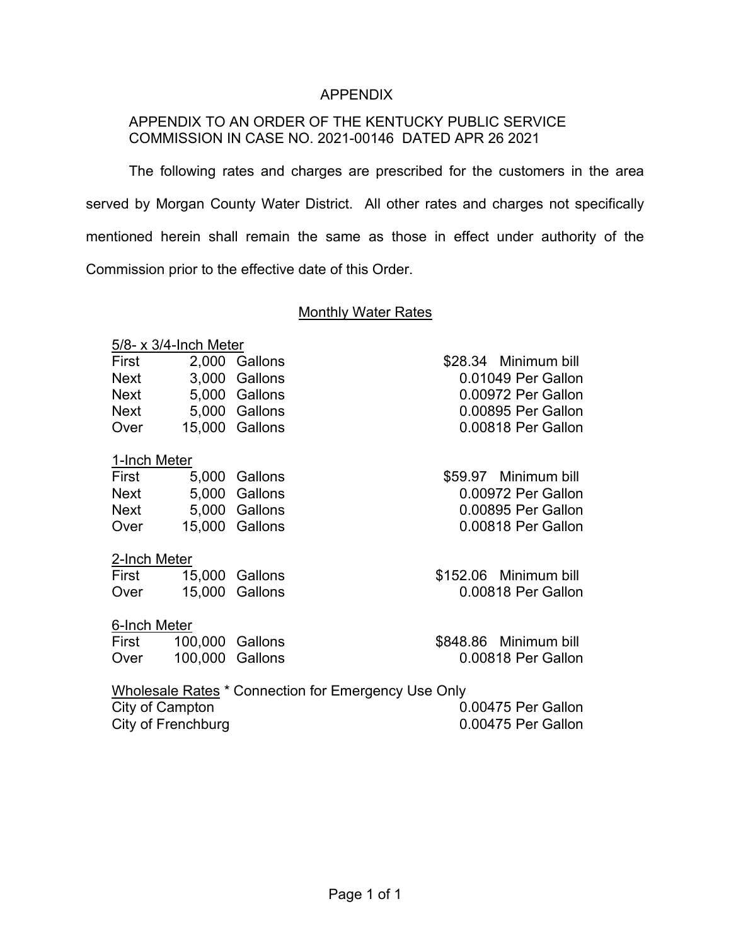# APPENDIX

# APPENDIX TO AN ORDER OF THE KENTUCKY PUBLIC SERVICE COMMISSION IN CASE NO. 2021-00146 DATED APR 26 2021

The following rates and charges are prescribed for the customers in the area served by Morgan County Water District. All other rates and charges not specifically mentioned herein shall remain the same as those in effect under authority of the Commission prior to the effective date of this Order.

#### Monthly Water Rates

#### 5/8- x 3/4-Inch Meter

| First       | 2,000 Gallons  |
|-------------|----------------|
| <b>Next</b> | 3,000 Gallons  |
| Next        | 5,000 Gallons  |
| <b>Next</b> | 5,000 Gallons  |
| Over        | 15,000 Gallons |

#### 1-Inch Meter

| First       | 5.000 Gallons  |
|-------------|----------------|
| <b>Next</b> | 5.000 Gallons  |
| Next        | 5.000 Gallons  |
| Over        | 15,000 Gallons |

## 2-Inch Meter

| First | 15,000 Gallons |
|-------|----------------|
| Over  | 15,000 Gallons |

## 6-Inch Meter

| First | 100,000 Gallons |  |
|-------|-----------------|--|
| Over  | 100,000 Gallons |  |

\$28.34 Minimum bill 0.01049 Per Gallon 0.00972 Per Gallon 0.00895 Per Gallon 0.00818 Per Gallon

\$59.97 Minimum bill 0.00972 Per Gallon 0.00895 Per Gallon 0.00818 Per Gallon

\$152.06 Minimum bill 0.00818 Per Gallon

\$848.86 Minimum bill 0.00818 Per Gallon

Wholesale Rates \* Connection for Emergency Use Only City of Campton **0.00475** Per Gallon City of Frenchburg **City of Frenchburg 0.00475 Per Gallon**